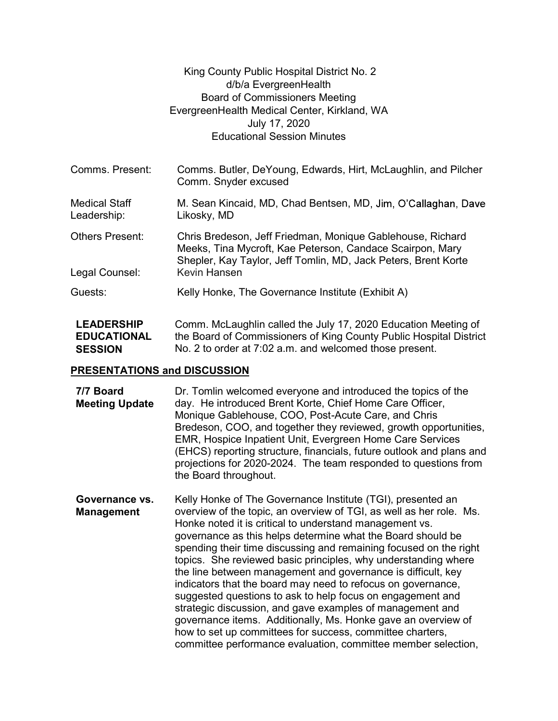|                                     | King County Public Hospital District No. 2                                                                                                                                                |  |
|-------------------------------------|-------------------------------------------------------------------------------------------------------------------------------------------------------------------------------------------|--|
|                                     | d/b/a EvergreenHealth                                                                                                                                                                     |  |
|                                     | <b>Board of Commissioners Meeting</b>                                                                                                                                                     |  |
|                                     | EvergreenHealth Medical Center, Kirkland, WA                                                                                                                                              |  |
|                                     | July 17, 2020                                                                                                                                                                             |  |
|                                     | <b>Educational Session Minutes</b>                                                                                                                                                        |  |
|                                     |                                                                                                                                                                                           |  |
| Comms. Present:                     | Comms. Butler, DeYoung, Edwards, Hirt, McLaughlin, and Pilcher<br>Comm. Snyder excused                                                                                                    |  |
| <b>Medical Staff</b><br>Leadership: | M. Sean Kincaid, MD, Chad Bentsen, MD, Jim, O'Callaghan, Dave<br>Likosky, MD                                                                                                              |  |
| <b>Others Present:</b>              | Chris Bredeson, Jeff Friedman, Monique Gablehouse, Richard<br>Meeks, Tina Mycroft, Kae Peterson, Candace Scairpon, Mary<br>Shepler, Kay Taylor, Jeff Tomlin, MD, Jack Peters, Brent Korte |  |
| Legal Counsel:                      | Kevin Hansen                                                                                                                                                                              |  |
| Guests:                             | Kelly Honke, The Governance Institute (Exhibit A)                                                                                                                                         |  |
| <b>LEADERSHIP</b>                   | Comm McLaughlin called the July 17, 2020 Education Meeting of                                                                                                                             |  |

LEADERSHIP Comm. Mc **EDUCATIONAL** the Board of **SESSION** No. 2 to order at 7:02 a.m. and we Comm. McLaughlin called the July 17, 2020 Education Meeting of the Board of Commissioners of King County Public Hospital District No. 2 to order at 7:02 a.m. and welcomed those present.

## PRESENTATIONS and DISCUSSION

| 7/7 Board<br><b>Meeting Update</b>  | Dr. Tomlin welcomed everyone and introduced the topics of the<br>day. He introduced Brent Korte, Chief Home Care Officer,<br>Monique Gablehouse, COO, Post-Acute Care, and Chris<br>Bredeson, COO, and together they reviewed, growth opportunities,<br>EMR, Hospice Inpatient Unit, Evergreen Home Care Services<br>(EHCS) reporting structure, financials, future outlook and plans and<br>projections for 2020-2024. The team responded to questions from<br>the Board throughout.                                                                                                                                                                                                                                                                                                                                                                         |
|-------------------------------------|---------------------------------------------------------------------------------------------------------------------------------------------------------------------------------------------------------------------------------------------------------------------------------------------------------------------------------------------------------------------------------------------------------------------------------------------------------------------------------------------------------------------------------------------------------------------------------------------------------------------------------------------------------------------------------------------------------------------------------------------------------------------------------------------------------------------------------------------------------------|
| Governance vs.<br><b>Management</b> | Kelly Honke of The Governance Institute (TGI), presented an<br>overview of the topic, an overview of TGI, as well as her role. Ms.<br>Honke noted it is critical to understand management vs.<br>governance as this helps determine what the Board should be<br>spending their time discussing and remaining focused on the right<br>topics. She reviewed basic principles, why understanding where<br>the line between management and governance is difficult, key<br>indicators that the board may need to refocus on governance,<br>suggested questions to ask to help focus on engagement and<br>strategic discussion, and gave examples of management and<br>governance items. Additionally, Ms. Honke gave an overview of<br>how to set up committees for success, committee charters,<br>committee performance evaluation, committee member selection, |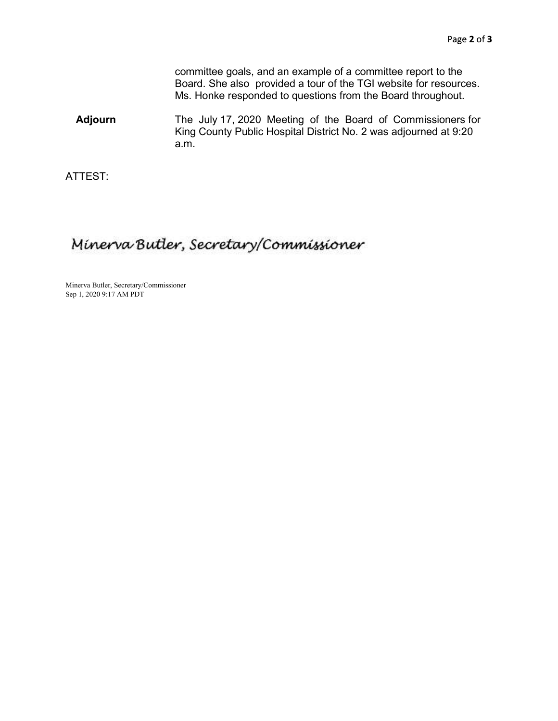committee goals, and an example of a committee report to the Board. She also provided a tour of the TGI website for resources. Ms. Honke responded to questions from the Board throughout.

Adjourn The July 17, 2020 Meeting of the Board of Commissioners for King County Public Hospital District No. 2 was adjourned at 9:20 a.m.

ATTEST:

## Minerva Butler, Secretary/Commissioner

 Minerva Butler, Secretary/Commissioner Sep 1, 2020 9:17 AM PDT